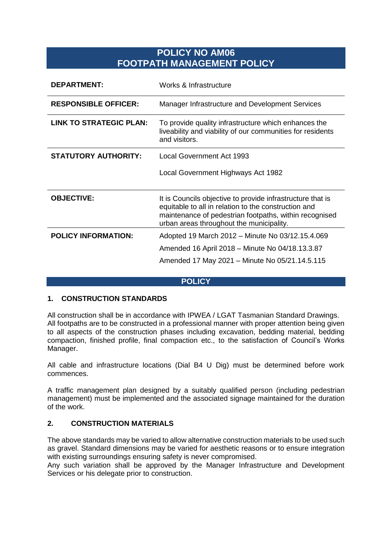# **POLICY NO AM06 FOOTPATH MANAGEMENT POLICY**

| <b>DEPARTMENT:</b>             | Works & Infrastructure                                                                                                                                                                                                   |
|--------------------------------|--------------------------------------------------------------------------------------------------------------------------------------------------------------------------------------------------------------------------|
| <b>RESPONSIBLE OFFICER:</b>    | Manager Infrastructure and Development Services                                                                                                                                                                          |
| <b>LINK TO STRATEGIC PLAN:</b> | To provide quality infrastructure which enhances the<br>liveability and viability of our communities for residents<br>and visitors.                                                                                      |
| <b>STATUTORY AUTHORITY:</b>    | Local Government Act 1993                                                                                                                                                                                                |
|                                | Local Government Highways Act 1982                                                                                                                                                                                       |
| <b>OBJECTIVE:</b>              | It is Councils objective to provide infrastructure that is<br>equitable to all in relation to the construction and<br>maintenance of pedestrian footpaths, within recognised<br>urban areas throughout the municipality. |
| <b>POLICY INFORMATION:</b>     | Adopted 19 March 2012 – Minute No 03/12.15.4.069                                                                                                                                                                         |
|                                | Amended 16 April 2018 – Minute No 04/18.13.3.87                                                                                                                                                                          |
|                                | Amended 17 May 2021 - Minute No 05/21.14.5.115                                                                                                                                                                           |

#### **POLICY**

#### **1. CONSTRUCTION STANDARDS**

All construction shall be in accordance with IPWEA / LGAT Tasmanian Standard Drawings. All footpaths are to be constructed in a professional manner with proper attention being given to all aspects of the construction phases including excavation, bedding material, bedding compaction, finished profile, final compaction etc., to the satisfaction of Council's Works Manager.

All cable and infrastructure locations (Dial B4 U Dig) must be determined before work commences.

A traffic management plan designed by a suitably qualified person (including pedestrian management) must be implemented and the associated signage maintained for the duration of the work.

#### **2. CONSTRUCTION MATERIALS**

The above standards may be varied to allow alternative construction materials to be used such as gravel. Standard dimensions may be varied for aesthetic reasons or to ensure integration with existing surroundings ensuring safety is never compromised.

Any such variation shall be approved by the Manager Infrastructure and Development Services or his delegate prior to construction.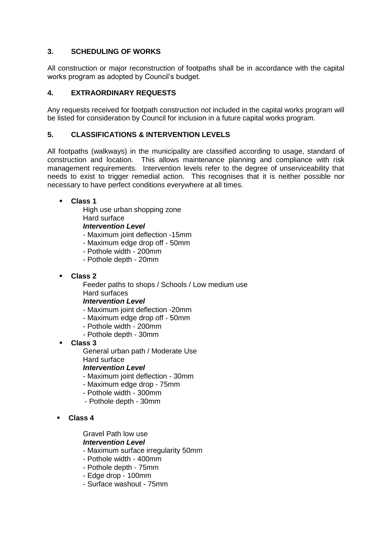# **3. SCHEDULING OF WORKS**

All construction or major reconstruction of footpaths shall be in accordance with the capital works program as adopted by Council's budget.

# **4. EXTRAORDINARY REQUESTS**

Any requests received for footpath construction not included in the capital works program will be listed for consideration by Council for inclusion in a future capital works program.

## **5. CLASSIFICATIONS & INTERVENTION LEVELS**

All footpaths (walkways) in the municipality are classified according to usage, standard of construction and location. This allows maintenance planning and compliance with risk management requirements. Intervention levels refer to the degree of unserviceability that needs to exist to trigger remedial action. This recognises that it is neither possible nor necessary to have perfect conditions everywhere at all times.

**Class 1**

High use urban shopping zone

Hard surface

*Intervention Level*

- Maximum joint deflection -15mm

- Maximum edge drop off 50mm
- Pothole width 200mm
- Pothole depth 20mm
- **Class 2**

Feeder paths to shops / Schools / Low medium use Hard surfaces

#### *Intervention Level*

- Maximum joint deflection -20mm
- Maximum edge drop off 50mm
- Pothole width 200mm
- Pothole depth 30mm
- **Class 3**

General urban path / Moderate Use Hard surface

*Intervention Level*

- Maximum joint deflection 30mm
- Maximum edge drop 75mm
- Pothole width 300mm
- Pothole depth 30mm

## **Class 4**

Gravel Path low use

## *Intervention Level*

- Maximum surface irregularity 50mm
- Pothole width 400mm
- Pothole depth 75mm
- Edge drop 100mm
- Surface washout 75mm